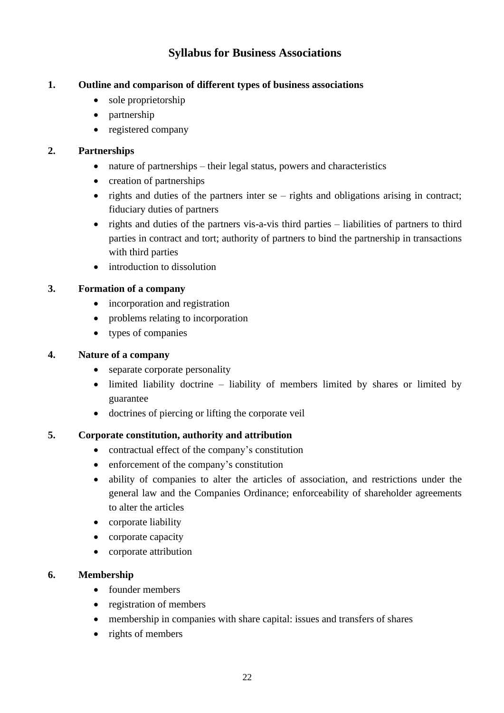# **Syllabus for Business Associations**

### **1. Outline and comparison of different types of business associations**

- sole proprietorship
- partnership
- registered company

### **2. Partnerships**

- nature of partnerships their legal status, powers and characteristics
- creation of partnerships
- rights and duties of the partners inter se rights and obligations arising in contract; fiduciary duties of partners
- rights and duties of the partners vis-a-vis third parties liabilities of partners to third parties in contract and tort; authority of partners to bind the partnership in transactions with third parties
- introduction to dissolution

### **3. Formation of a company**

- incorporation and registration
- problems relating to incorporation
- types of companies

### **4. Nature of a company**

- separate corporate personality
- limited liability doctrine liability of members limited by shares or limited by guarantee
- doctrines of piercing or lifting the corporate veil

### **5. Corporate constitution, authority and attribution**

- contractual effect of the company's constitution
- enforcement of the company's constitution
- ability of companies to alter the articles of association, and restrictions under the general law and the Companies Ordinance; enforceability of shareholder agreements to alter the articles
- corporate liability
- corporate capacity
- corporate attribution

### **6. Membership**

- founder members
- registration of members
- membership in companies with share capital: issues and transfers of shares
- rights of members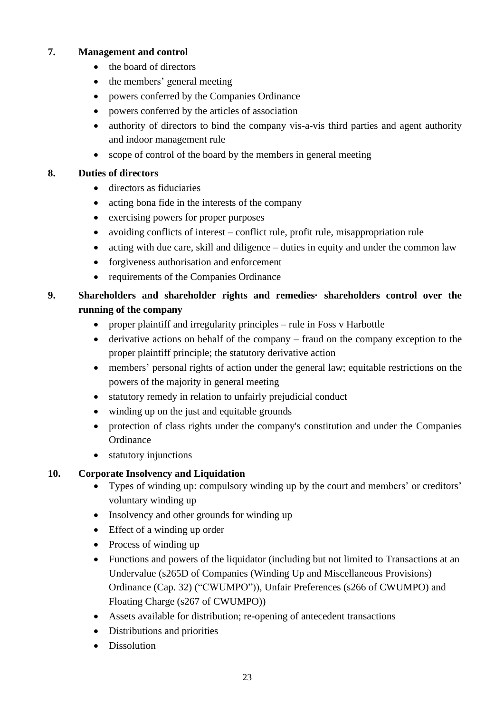### **7. Management and control**

- the board of directors
- the members' general meeting
- powers conferred by the Companies Ordinance
- powers conferred by the articles of association
- authority of directors to bind the company vis-a-vis third parties and agent authority and indoor management rule
- scope of control of the board by the members in general meeting

### **8. Duties of directors**

- directors as fiduciaries
- acting bona fide in the interests of the company
- exercising powers for proper purposes
- avoiding conflicts of interest conflict rule, profit rule, misappropriation rule
- acting with due care, skill and diligence duties in equity and under the common law
- forgiveness authorisation and enforcement
- requirements of the Companies Ordinance
- **9. Shareholders and shareholder rights and remedies· shareholders control over the running of the company**
	- proper plaintiff and irregularity principles rule in Foss v Harbottle
	- derivative actions on behalf of the company fraud on the company exception to the proper plaintiff principle; the statutory derivative action
	- members' personal rights of action under the general law; equitable restrictions on the powers of the majority in general meeting
	- statutory remedy in relation to unfairly prejudicial conduct
	- winding up on the just and equitable grounds
	- protection of class rights under the company's constitution and under the Companies **Ordinance**
	- statutory injunctions

# **10. Corporate Insolvency and Liquidation**

- Types of winding up: compulsory winding up by the court and members' or creditors' voluntary winding up
- Insolvency and other grounds for winding up
- Effect of a winding up order
- Process of winding up
- Functions and powers of the liquidator (including but not limited to Transactions at an Undervalue (s265D of Companies (Winding Up and Miscellaneous Provisions) Ordinance (Cap. 32) ("CWUMPO")), Unfair Preferences (s266 of CWUMPO) and Floating Charge (s267 of CWUMPO))
- Assets available for distribution; re-opening of antecedent transactions
- Distributions and priorities
- Dissolution